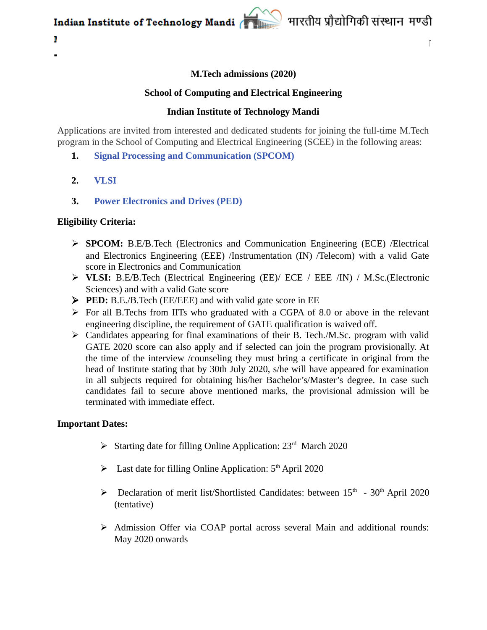

# **M.Tech admissions (2020)**

## **School of Computing and Electrical Engineering**

## **Indian Institute of Technology Mandi**

Applications are invited from interested and dedicated students for joining the full-time M.Tech program in the School of Computing and Electrical Engineering (SCEE) in the following areas:

- **1. [Signal Processing and Communication \(SPCOM\)](https://iitmandi.ac.in/academics/files/M.Tech_Flyer_spcom_2020.pdf)**
- **2. [VLSI](https://iitmandi.ac.in/academics/files/M.Tech_Flyer_vlsi_2020.pdf)**

N

**3. [Power Electronics and Drives \(PED\)](https://iitmandi.ac.in/academics/files/M.Tech_Flyer_spcom_2020.pdf)**

#### **Eligibility Criteria:**

- **SPCOM:** B.E/B.Tech (Electronics and Communication Engineering (ECE) /Electrical and Electronics Engineering (EEE) /Instrumentation (IN) /Telecom) with a valid Gate score in Electronics and Communication
- **VLSI:** B.E/B.Tech (Electrical Engineering (EE)/ ECE / EEE /IN) / M.Sc.(Electronic Sciences) and with a valid Gate score
- **PED:** B.E./B.Tech (EE/EEE) and with valid gate score in EE
- $\triangleright$  For all B.Techs from IITs who graduated with a CGPA of 8.0 or above in the relevant engineering discipline, the requirement of GATE qualification is waived off.
- $\triangleright$  Candidates appearing for final examinations of their B. Tech./M.Sc. program with valid GATE 2020 score can also apply and if selected can join the program provisionally. At the time of the interview /counseling they must bring a certificate in original from the head of Institute stating that by 30th July 2020, s/he will have appeared for examination in all subjects required for obtaining his/her Bachelor's/Master's degree. In case such candidates fail to secure above mentioned marks, the provisional admission will be terminated with immediate effect.

#### **Important Dates:**

- Starting date for filling Online Application:  $23<sup>rd</sup>$  March 2020
- $\blacktriangleright$  Last date for filling Online Application: 5<sup>th</sup> April 2020
- $\triangleright$  Declaration of merit list/Shortlisted Candidates: between 15<sup>th</sup> 30<sup>th</sup> April 2020 (tentative)
- $\triangleright$  Admission Offer via COAP portal across several Main and additional rounds: May 2020 onwards